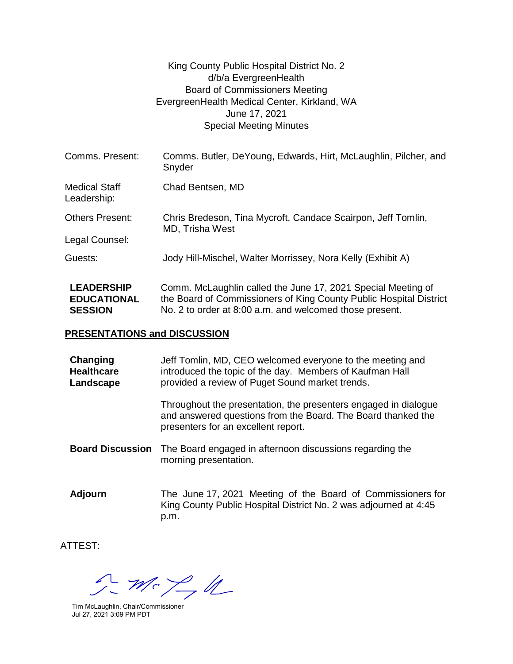## King County Public Hospital District No. 2 d/b/a EvergreenHealth Board of Commissioners Meeting EvergreenHealth Medical Center, Kirkland, WA June 17, 2021 Special Meeting Minutes

| Comms. Present:                         | Comms. Butler, DeYoung, Edwards, Hirt, McLaughlin, Pilcher, and<br>Snyder                                                          |
|-----------------------------------------|------------------------------------------------------------------------------------------------------------------------------------|
| <b>Medical Staff</b><br>Leadership:     | Chad Bentsen, MD                                                                                                                   |
| <b>Others Present:</b>                  | Chris Bredeson, Tina Mycroft, Candace Scairpon, Jeff Tomlin,<br>MD, Trisha West                                                    |
| Legal Counsel:                          |                                                                                                                                    |
| Guests:                                 | Jody Hill-Mischel, Walter Morrissey, Nora Kelly (Exhibit A)                                                                        |
| <b>LEADERSHIP</b><br><b>EDUCATIONAL</b> | Comm. McLaughlin called the June 17, 2021 Special Meeting of<br>the Board of Commissioners of King County Public Hospital District |

No. 2 to order at 8:00 a.m. and welcomed those present.

## **PRESENTATIONS and DISCUSSION**

| Changing<br><b>Healthcare</b><br>Landscape | Jeff Tomlin, MD, CEO welcomed everyone to the meeting and<br>introduced the topic of the day. Members of Kaufman Hall<br>provided a review of Puget Sound market trends. |  |
|--------------------------------------------|--------------------------------------------------------------------------------------------------------------------------------------------------------------------------|--|
|                                            | Throughout the presentation, the presenters engaged in dialogue<br>and answered questions from the Board. The Board thanked the<br>presenters for an excellent report.   |  |
| <b>Board Discussion</b>                    | The Board engaged in afternoon discussions regarding the<br>morning presentation.                                                                                        |  |
| <b>Adjourn</b>                             | The June 17, 2021 Meeting of the Board of Commissioners for                                                                                                              |  |

King County Public Hospital District No. 2 was adjourned at 4:45 p.m.

ATTEST:

**SESSION**

 $m < \frac{1}{2}d$ 

Tim McLaughlin, Chair/Commissioner Jul 27, 2021 3:09 PM PDT